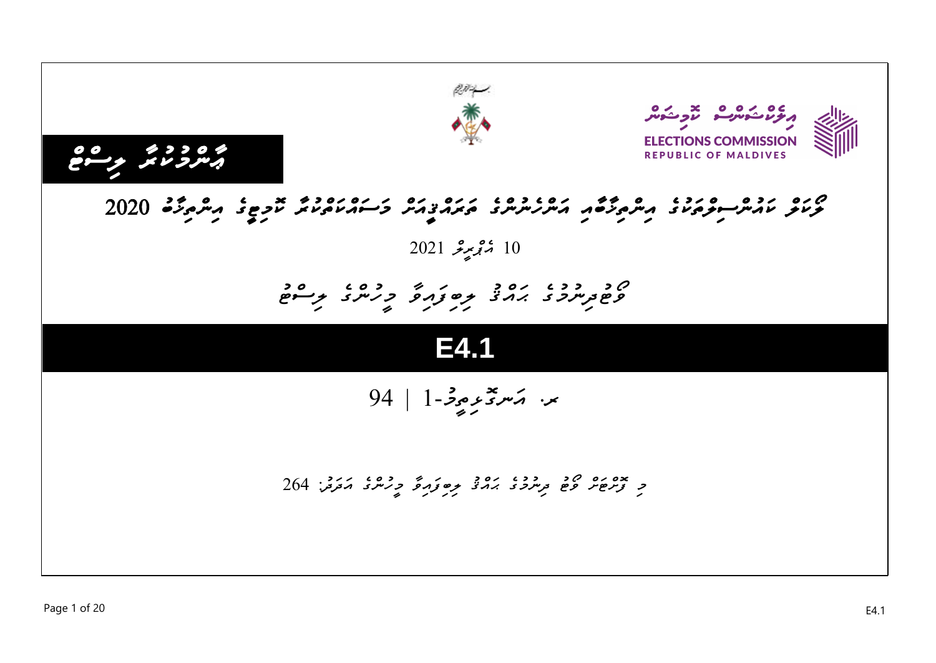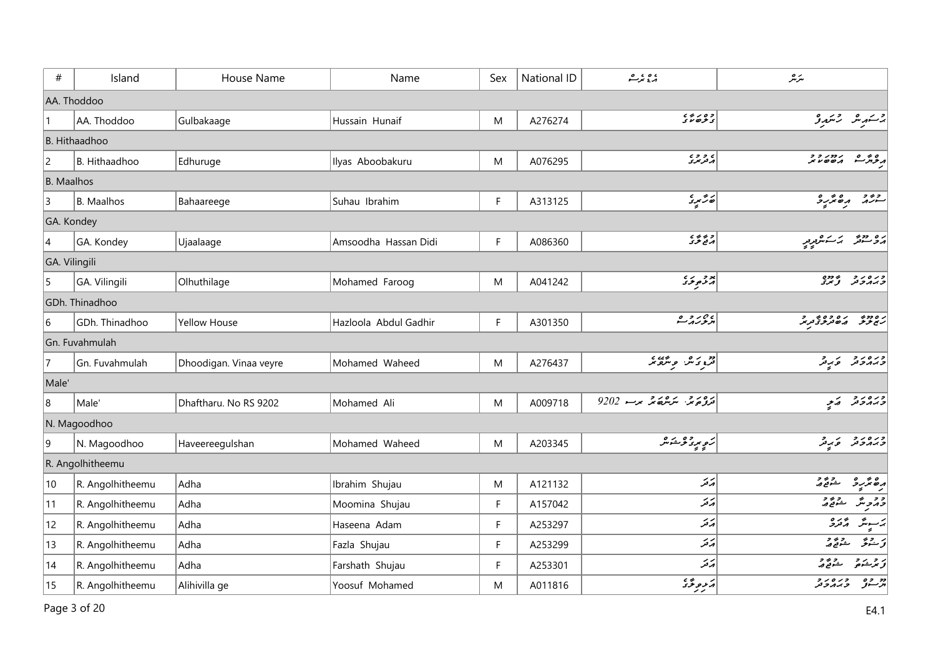| #                 | Island            | House Name             | Name                  | Sex       | National ID | ، ه ، ره<br>مر، مر                      | ىئرىتر                                      |
|-------------------|-------------------|------------------------|-----------------------|-----------|-------------|-----------------------------------------|---------------------------------------------|
|                   | AA. Thoddoo       |                        |                       |           |             |                                         |                                             |
|                   | AA. Thoddoo       | Gulbakaage             | Hussain Hunaif        | M         | A276274     | وه ریږ<br><sub>ک</sub> نو <i>ه ن</i> و  | برسكر بكر رحمته ومحمد                       |
|                   | B. Hithaadhoo     |                        |                       |           |             |                                         |                                             |
| 2                 | B. Hithaadhoo     | Edhuruge               | Ilyas Aboobakuru      | M         | A076295     | ے و و ے<br>پر تعریمی                    | 2272220202020                               |
| <b>B.</b> Maalhos |                   |                        |                       |           |             |                                         |                                             |
| 3                 | <b>B.</b> Maalhos | Bahaareege             | Suhau Ibrahim         | F         | A313125     | پر شمېر ئا                              | وە ئەربى<br>سەدە                            |
| GA. Kondey        |                   |                        |                       |           |             |                                         |                                             |
| 4                 | GA. Kondey        | Ujaalaage              | Amsoodha Hassan Didi  | F         | A086360     | و ۵ ۵ م<br>پرې مو ک                     | ره «مجر پر که کرد در م                      |
| GA. Vilingili     |                   |                        |                       |           |             |                                         |                                             |
| 5                 | GA. Vilingili     | Olhuthilage            | Mohamed Faroog        | M         | A041242     | بر و بر ،<br>مرگوری                     | כנסנכ שמפ<br>במחכנת צימצ                    |
|                   | GDh. Thinadhoo    |                        |                       |           |             |                                         |                                             |
| $6 \overline{6}$  | GDh. Thinadhoo    | <b>Yellow House</b>    | Hazloola Abdul Gadhir | F         | A301350     | ، <i>ہی ر</i> جہ ہے<br>مرمز پر پر       | رەددى رە دەپرىيە<br>ئەين ئىش ھەمرىرتى تېرىر |
|                   | Gn. Fuvahmulah    |                        |                       |           |             |                                         |                                             |
| 7                 | Gn. Fuvahmulah    | Dhoodigan. Vinaa veyre | Mohamed Waheed        | M         | A276437     | دو پر هن په شوه ش                       | ورەر دىر دېگر                               |
| Male'             |                   |                        |                       |           |             |                                         |                                             |
| 8                 | Male'             | Dhaftharu. No RS 9202  | Mohamed Ali           | M         | A009718     | ىرە بەش. ئىرىشقەتمە بىرسە 9202          | ورەرو كەير                                  |
|                   | N. Magoodhoo      |                        |                       |           |             |                                         |                                             |
| 9                 | N. Magoodhoo      | Haveereegulshan        | Mohamed Waheed        | ${\sf M}$ | A203345     | ائەمە بىر ئەھمەتىر<br>__ ئەسىر ئەھمەتىر | ورەرو كەيد                                  |
|                   | R. Angolhitheemu  |                        |                       |           |             |                                         |                                             |
| 10                | R. Angolhitheemu  | Adha                   | Ibrahim Shujau        | M         | A121132     | برتر                                    | دەنزىر شىق                                  |
| 11                | R. Angolhitheemu  | Adha                   | Moomina Shujau        | F         | A157042     | برتر                                    | وو شهر دوود<br><i>د</i> اروس شو <i>ق</i> ه  |
| $ 12\rangle$      | R. Angolhitheemu  | Adha                   | Haseena Adam          | F         | A253297     | برتر                                    | ئەسىرىتىن ئەزىرە<br> -                      |
| $ 13\rangle$      | R. Angolhitheemu  | Adha                   | Fazla Shujau          | F         | A253299     | برتر                                    | كرَ شَوَقَرَ سَفْرَةٍ وَ                    |
| 14                | R. Angolhitheemu  | Adha                   | Farshath Shujau       | F.        | A253301     | برتر                                    | ر و در و در و در و د<br>تر پر شرق مشوقے پر  |
| 15                | R. Angolhitheemu  | Alihivilla ge          | Yoosuf Mohamed        | M         | A011816     | اپر دے دی<br>سرمرمر                     | מכפס כנסנב<br>ת—נצפו כמתכנק                 |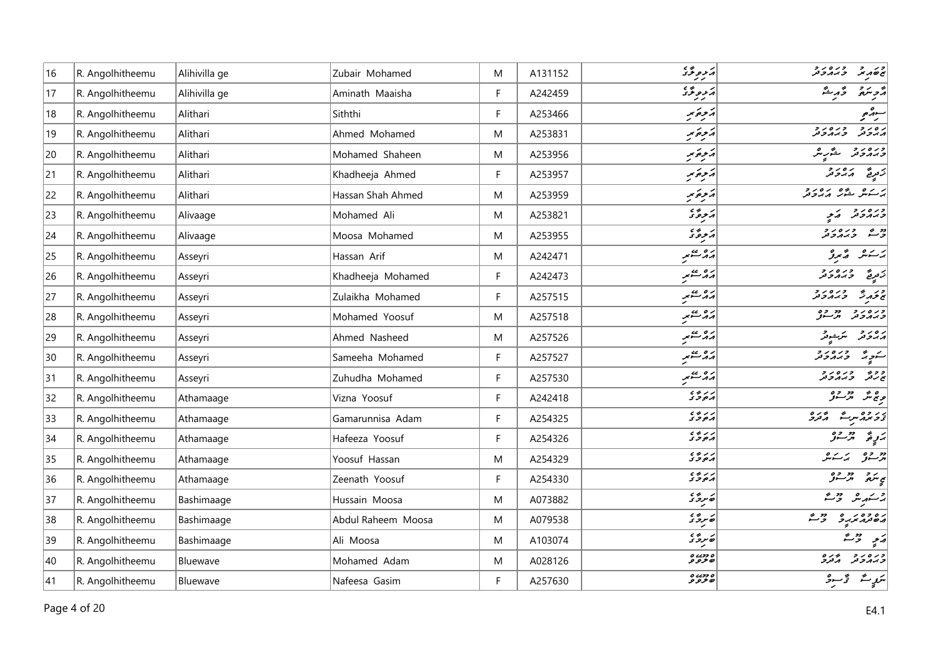| 16 | R. Angolhitheemu | Alihivilla ge | Zubair Mohamed     | M         | A131152 | <br>  در در ژی                       | 37073 3762                                             |
|----|------------------|---------------|--------------------|-----------|---------|--------------------------------------|--------------------------------------------------------|
| 17 | R. Angolhitheemu | Alihivilla ge | Aminath Maaisha    | F         | A242459 | ر<br>د نوعونژی                       | וב<br>הקיימים<br>ر گھرے گھ                             |
| 18 | R. Angolhitheemu | Alithari      | Siththi            | F         | A253466 | وكمعرضو                              | $\frac{1}{2}$                                          |
| 19 | R. Angolhitheemu | Alithari      | Ahmed Mohamed      | M         | A253831 | وكمعرضو                              | بروبرو<br>و ره ر د<br>رنگرونر                          |
| 20 | R. Angolhitheemu | Alithari      | Mohamed Shaheen    | M         | A253956 | لأحرة مر                             | ورەر دېگرىش                                            |
| 21 | R. Angolhitheemu | Alithari      | Khadheeja Ahmed    | F         | A253957 | وكمعرض مبر                           | كزمريح كمكرومر                                         |
| 22 | R. Angolhitheemu | Alithari      | Hassan Shah Ahmed  | M         | A253959 | لأحرة مر                             | بركسكس كمشرح برەبرو                                    |
| 23 | R. Angolhitheemu | Alivaage      | Mohamed Ali        | M         | A253821 | پزیره ی                              | ورەرو كەي                                              |
| 24 | R. Angolhitheemu | Alivaage      | Moosa Mohamed      | M         | A253955 | پر پر پر                             | أوقت وره رو                                            |
| 25 | R. Angolhitheemu | Asseyri       | Hassan Arif        | M         | A242471 | لئەھرىيىسىر                          | يَا سَدُ عَلَمَ الْمَسْرِ وَ                           |
| 26 | R. Angolhitheemu | Asseyri       | Khadheeja Mohamed  | F         | A242473 | لروعيمر                              | و رە ر د<br><i>د بە</i> د تر<br>ترىرىچ                 |
| 27 | R. Angolhitheemu | Asseyri       | Zulaikha Mohamed   | F         | A257515 | لرەپىر                               | و ره ر د<br><i>د ب</i> رگرفر<br>چ ئۇ م <sup>ەش</sup> ر |
| 28 | R. Angolhitheemu | Asseyri       | Mohamed Yoosuf     | M         | A257518 | لره يمير                             | כנסנכ ככם<br><i>כג</i> ו <i>ב</i> כנג וק               |
| 29 | R. Angolhitheemu | Asseyri       | Ahmed Nasheed      | M         | A257526 | لره يهمر                             | أرور والمتحصر                                          |
| 30 | R. Angolhitheemu | Asseyri       | Sameeha Mohamed    | F         | A257527 | بره يھير                             | شوره دره دورو                                          |
| 31 | R. Angolhitheemu | Asseyri       | Zuhudha Mohamed    | F         | A257530 | لتره يھير                            | و و په وره رو<br>پې <i>ر</i> نگر او <i>پر</i> مرونو    |
| 32 | R. Angolhitheemu | Athamaage     | Vizna Yoosuf       | F.        | A242418 | ر ر د »<br>پره <del>و</del> و        | موج مگر مقرح وہ<br>                                    |
| 33 | R. Angolhitheemu | Athamaage     | Gamarunnisa Adam   | F         | A254325 | ر ر د »<br>د ه د د                   | ر ده مرت مدده                                          |
| 34 | R. Angolhitheemu | Athamaage     | Hafeeza Yoosuf     | F.        | A254326 | بر بر بو پر<br>پرچونو <sub>م</sub> ی | پروژه در دوه<br>  پروژه در دوه                         |
| 35 | R. Angolhitheemu | Athamaage     | Yoosuf Hassan      | M         | A254329 | پر په پ<br>  پر پوځو                 | در ده بر په ک                                          |
| 36 | R. Angolhitheemu | Athamaage     | Zeenath Yoosuf     | F         | A254330 | د ر د د<br>  په پور د                | ىپە ئىكرە قارىسى ئۇ                                    |
| 37 | R. Angolhitheemu | Bashimaage    | Hussain Moosa      | ${\sf M}$ | A073882 | ر<br>خورد د                          | برستهر شد وحسة                                         |
| 38 | R. Angolhitheemu | Bashimaage    | Abdul Raheem Moosa | M         | A079538 | ر<br>خ مرد د                         |                                                        |
| 39 | R. Angolhitheemu | Bashimaage    | Ali Moosa          | M         | A103074 | <br> خامرچری                         | $\begin{bmatrix} 2 & 2 \\ -2 & 2 \end{bmatrix}$        |
| 40 | R. Angolhitheemu | Bluewave      | Mohamed Adam       | M         | A028126 | ه ددن ه<br>ن مود و                   | وره رو په ده<br>وبرمرونر مرتزح                         |
| 41 | R. Angolhitheemu | Bluewave      | Nafeesa Gasim      | F         | A257630 | ه دور، ه<br>ن موړو                   | سَمْدٍ سُمَّةً تَحْسِبُونَّ                            |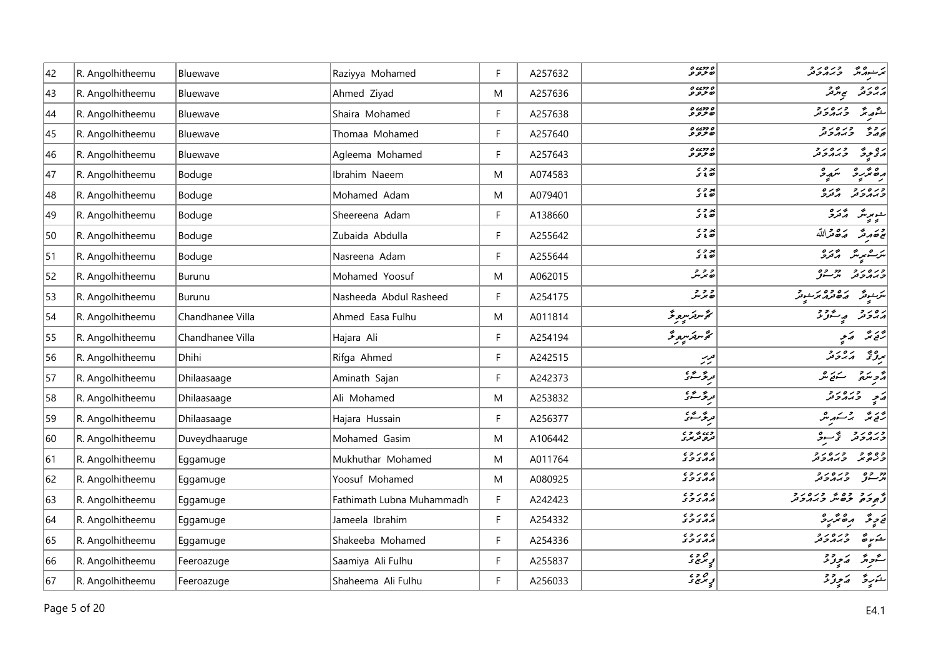| 42 | R. Angolhitheemu | Bluewave         | Raziyya Mohamed           | F  | A257632 | ه دور، ه<br>ن موړو             | 2000 - 2000<br>مرسوم 2000                          |
|----|------------------|------------------|---------------------------|----|---------|--------------------------------|----------------------------------------------------|
| 43 | R. Angolhitheemu | Bluewave         | Ahmed Ziyad               | M  | A257636 | ه دور، ه<br>ن موړو             | رەر دېگرىر<br>مەركىر                               |
| 44 | R. Angolhitheemu | Bluewave         | Shaira Mohamed            | F. | A257638 | ه دور، ه<br>ن موړو             | و رە ر د<br><i>د بە</i> گەر<br>مشمرتمر             |
| 45 | R. Angolhitheemu | <b>Bluewave</b>  | Thomaa Mohamed            | F  | A257640 | ه ددن ه<br>ن <del>ع</del> رو و | و رە ر د<br><i>د ب</i> رگەنز<br>ر و د<br>جوړن      |
| 46 | R. Angolhitheemu | Bluewave         | Agleema Mohamed           | F  | A257643 | ه ددن ه<br>ن <del>م</del> رو و | و ره ر د<br><i>د ب</i> رگرفر<br>بره موځ<br>مرغ موځ |
| 47 | R. Angolhitheemu | Boduge           | Ibrahim Naeem             | M  | A074583 | 580                            | ە ھەترىر <sup>ە</sup><br>سمەر                      |
| 48 | R. Angolhitheemu | Boduge           | Mohamed Adam              | M  | A079401 | 550                            | و ر ه ر و<br>تر پر تر تر<br>پور ہ<br>پر تر تر      |
| 49 | R. Angolhitheemu | Boduge           | Sheereena Adam            | F  | A138660 | پر و م<br>ح و م                | شومرسگر محمده<br> - خونجر محمده                    |
| 50 | R. Angolhitheemu | Boduge           | Zubaida Abdulla           | F  | A255642 | 550                            | ەھقراللە<br>ح ئەمرىتر<br>ئ                         |
| 51 | R. Angolhitheemu | Boduge           | Nasreena Adam             | F  | A255644 | پر و م<br>ح و م                | ىئرىشمېرىش كەترى                                   |
| 52 | R. Angolhitheemu | Burunu           | Mohamed Yoosuf            | M  | A062015 | د د د<br>حامرس                 | כנסני מיפס<br>בגהבה ה-                             |
| 53 | R. Angolhitheemu | Burunu           | Nasheeda Abdul Rasheed    | F  | A254175 | د د د<br>حامرس                 | י<br>תובית היסינו <i>ת הבית היי</i>                |
| 54 | R. Angolhitheemu | Chandhanee Villa | Ahmed Easa Fulhu          | M  | A011814 | ە<br>ئۇستىر س <sub>ە</sub> ر   | ره رو په دوو                                       |
| 55 | R. Angolhitheemu | Chandhanee Villa | Hajara Ali                | F  | A254194 | ڭۇستىر سرەپە قە                | لتفصف الكامح                                       |
| 56 | R. Angolhitheemu | <b>Dhihi</b>     | Rifga Ahmed               | F  | A242515 | ىرىر<br>مركز                   | بروتخ - روبر و                                     |
| 57 | R. Angolhitheemu | Dhilaasaage      | Aminath Sajan             | F  | A242373 | ىر ئۇرىچ ي                     | ۇ ئەسكە ئەسكەنلەر                                  |
| 58 | R. Angolhitheemu | Dhilaasaage      | Ali Mohamed               | M  | A253832 | مرمح ڪري                       | أقدم وبرورة                                        |
| 59 | R. Angolhitheemu | Dhilaasaage      | Hajara Hussain            | F. | A256377 | ەرگەشىمى                       | رَّحْ يَرْ سَهْرِ مَرْ                             |
| 60 | R. Angolhitheemu | Duveydhaaruge    | Mohamed Gasim             | M  | A106442 | وړ پر و د<br>ترو تر بر ت       | ورەر و گەر                                         |
| 61 | R. Angolhitheemu | Eggamuge         | Mukhuthar Mohamed         | M  | A011764 | 55599                          | و ره ر و<br>تر پر ژنر<br>و ه و و<br>تر ځو مخه      |
| 62 | R. Angolhitheemu | Eggamuge         | Yoosuf Mohamed            | M  | A080925 | 55500                          | מ כם כנסנב<br>ת—נצ                                 |
| 63 | R. Angolhitheemu | Eggamuge         | Fathimath Lubna Muhammadh | F  | A242423 | e o voe<br>En En               | ه د د ده په دره د د<br>ژبوده نره سر د بر د تر      |
| 64 | R. Angolhitheemu | Eggamuge         | Jameela Ibrahim           | F  | A254332 | 55500                          | فأجرقت وكالتراجر                                   |
| 65 | R. Angolhitheemu | Eggamuge         | Shakeeba Mohamed          | F  | A254336 | e o voe<br>En En               | و رە ر د<br><i>د ب</i> رگەر<br>شەرىقە<br>ئ         |
|    |                  | Feeroazuge       | Saamiya Ali Fulhu         | F. | A255837 | ه و ه و و<br>مح <b>مدس د</b>   | ستمرش<br>ە پەيوتر                                  |
| 66 | R. Angolhitheemu |                  |                           |    |         |                                |                                                    |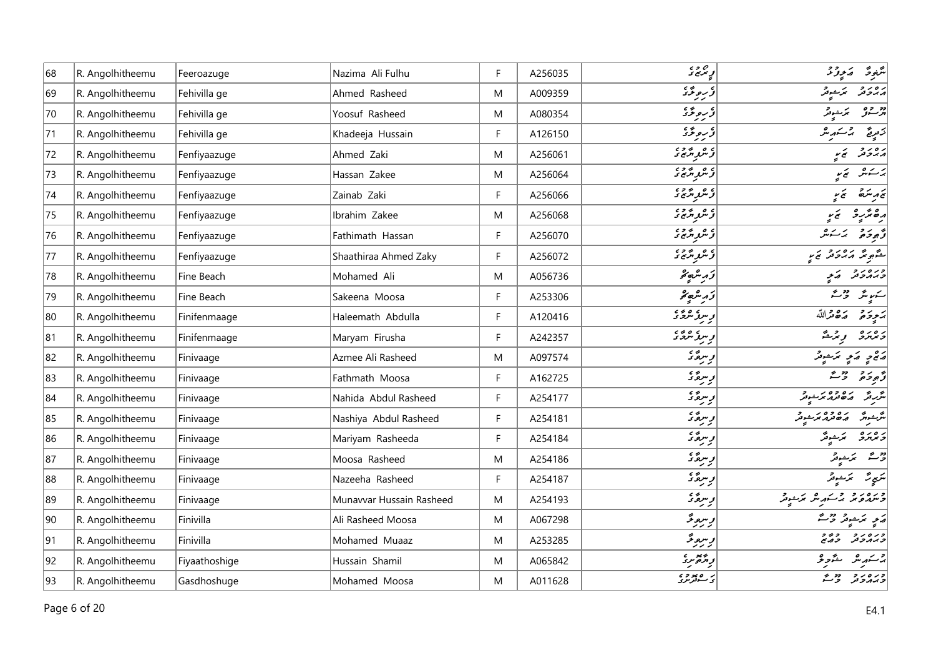| 68 | R. Angolhitheemu | Feeroazuge    | Nazima Ali Fulhu         | F         | A256035 | ە 2 ج<br>م <sub>و</sub> مىرىمى ئ              | ىئى <sub>م</sub> ۇ<br>ە ئىروژ                                                                                                                                                                                                   |
|----|------------------|---------------|--------------------------|-----------|---------|-----------------------------------------------|---------------------------------------------------------------------------------------------------------------------------------------------------------------------------------------------------------------------------------|
| 69 | R. Angolhitheemu | Fehivilla ge  | Ahmed Rasheed            | M         | A009359 | ۇروڭۇ                                         | رەر دېر<br>مەركىر گرېنونر                                                                                                                                                                                                       |
| 70 | R. Angolhitheemu | Fehivilla ge  | Yoosuf Rasheed           | M         | A080354 | ۇروڭۇ                                         | در ده در مرکب در کرد.<br>افزایشونی                                                                                                                                                                                              |
| 71 | R. Angolhitheemu | Fehivilla ge  | Khadeeja Hussain         | F.        | A126150 | د سره د د ؟<br>  د سره د د ؟                  | جەسەم <i>بە</i> ر<br>ترى <sub>مى</sub> چ<br>ئ                                                                                                                                                                                   |
| 72 | R. Angolhitheemu | Fenfiyaazuge  | Ahmed Zaki               | M         | A256061 | ئۇنترى <i>م ھەج</i>                           | رەرد ىم                                                                                                                                                                                                                         |
| 73 | R. Angolhitheemu | Fenfiyaazuge  | Hassan Zakee             | M         | A256064 | ې مهمو پر دې<br>د سرو پر پر                   | پرستمبر ہے ہا                                                                                                                                                                                                                   |
| 74 | R. Angolhitheemu | Fenfiyaazuge  | Zainab Zaki              | F         | A256066 | ع شروع دي.<br> تر شر <sub>و</sub> شيخ د       | تأمر سرة<br>$\frac{1}{3}$                                                                                                                                                                                                       |
| 75 | R. Angolhitheemu | Fenfiyaazuge  | Ibrahim Zakee            | M         | A256068 | ، هروپرۍ<br>ز سر <sub>و</sub> پرۍ             |                                                                                                                                                                                                                                 |
| 76 | R. Angolhitheemu | Fenfiyaazuge  | Fathimath Hassan         | F         | A256070 | ع شروع دي.<br> زينگر پرسي <sub>ک</sub>        | وَجودَةٍ يَسَدَسْ                                                                                                                                                                                                               |
| 77 | R. Angolhitheemu | Fenfiyaazuge  | Shaathiraa Ahmed Zaky    | F         | A256072 | ع ش <sub>ر پر پ</sub> ر د ،<br> زیند پر پر بی | شوه بره دو بر                                                                                                                                                                                                                   |
| 78 | R. Angolhitheemu | Fine Beach    | Mohamed Ali              | M         | A056736 | زَمرِ سُرْھٍ کُو                              | وره رو کړې<br><i>د بر</i> ونر کړې                                                                                                                                                                                               |
| 79 | R. Angolhitheemu | Fine Beach    | Sakeena Moosa            | F         | A253306 | زَ مرسمعه محم                                 | سەرپە قري                                                                                                                                                                                                                       |
| 80 | R. Angolhitheemu | Finifenmaage  | Haleemath Abdulla        | F         | A120416 | ر سرگە شر <i>د ؟</i>                          | بروحة وحقالله                                                                                                                                                                                                                   |
| 81 | R. Angolhitheemu | Finifenmaage  | Maryam Firusha           | F         | A242357 | ر سر شرور د                                   | رەرە پەرشە                                                                                                                                                                                                                      |
| 82 | R. Angolhitheemu | Finivaage     | Azmee Ali Rasheed        | M         | A097574 | وسرءٌ کا                                      | أەلج و أو المراسوم                                                                                                                                                                                                              |
| 83 | R. Angolhitheemu | Finivaage     | Fathmath Moosa           | F.        | A162725 | و سرچ <sup>ء</sup><br>تر سرچ                  | و ده در مور                                                                                                                                                                                                                     |
| 84 | R. Angolhitheemu | Finivaage     | Nahida Abdul Rasheed     | F         | A254177 | و سرچ <sup>ي</sup>                            | شريش كالمعاده بمشور                                                                                                                                                                                                             |
| 85 | R. Angolhitheemu | Finivaage     | Nashiya Abdul Rasheed    | F.        | A254181 | وسرځ ځ                                        | ري ده وه د مرکز د د کليک بالا د مرکز د در د کلي کليک د د کلي به د د کلي کليک به د د کلي کليک د کليک د د کليک ب<br>د کليک بالا کليک د کليک د کليک د کليک د کليک د کليک د کليک د کليک د کليک د کليک د کليک د کليک د کليک د کليک د |
| 86 | R. Angolhitheemu | Finivaage     | Mariyam Rasheeda         | F.        | A254184 | و سرچ ی<br>تر سرچ <sub>ک</sub>                | ويروو برشوش                                                                                                                                                                                                                     |
| 87 | R. Angolhitheemu | Finivaage     | Moosa Rasheed            | M         | A254186 | و سرچ <sup>ء</sup><br>تر سرچ                  | $\begin{array}{cc} \mathcal{E}_{\mathcal{P}} & \mathcal{E}_{\mathcal{P}} \\ \mathcal{E}_{\mathcal{P}} & \mathcal{E}_{\mathcal{P}} \end{array}$                                                                                  |
| 88 | R. Angolhitheemu | Finivaage     | Nazeeha Rasheed          | F         | A254187 | و سرچ ی<br>تر سرچ <sub>ک</sub>                | ىك <sub>ى</sub> پوڭ ئۈشۈش <mark>ە</mark>                                                                                                                                                                                        |
| 89 | R. Angolhitheemu | Finivaage     | Munavvar Hussain Rasheed | M         | A254193 | و سرچ <sup>ي</sup>                            | ورەرو ويكريش ترجيش                                                                                                                                                                                                              |
| 90 | R. Angolhitheemu | Finivilla     | Ali Rasheed Moosa        | M         | A067298 | او سره څه<br><u>ست</u>                        | أريمي الكرسيون وحرامي                                                                                                                                                                                                           |
| 91 | R. Angolhitheemu | Finivilla     | Mohamed Muaaz            | ${\sf M}$ | A253285 | و سره څه<br>نر بر                             | כנסני כביר<br>כגובת כגי                                                                                                                                                                                                         |
| 92 | R. Angolhitheemu | Fiyaathoshige | Hussain Shamil           | M         | A065842 | أويجعرء                                       | برسكريش المشروعة                                                                                                                                                                                                                |
| 93 | R. Angolhitheemu | Gasdhoshuge   | Mohamed Moosa            | M         | A011628 | ر رہ پو و ۽<br>ي سنگرمزي                      | وره رو دورم<br>وبربروتر وت                                                                                                                                                                                                      |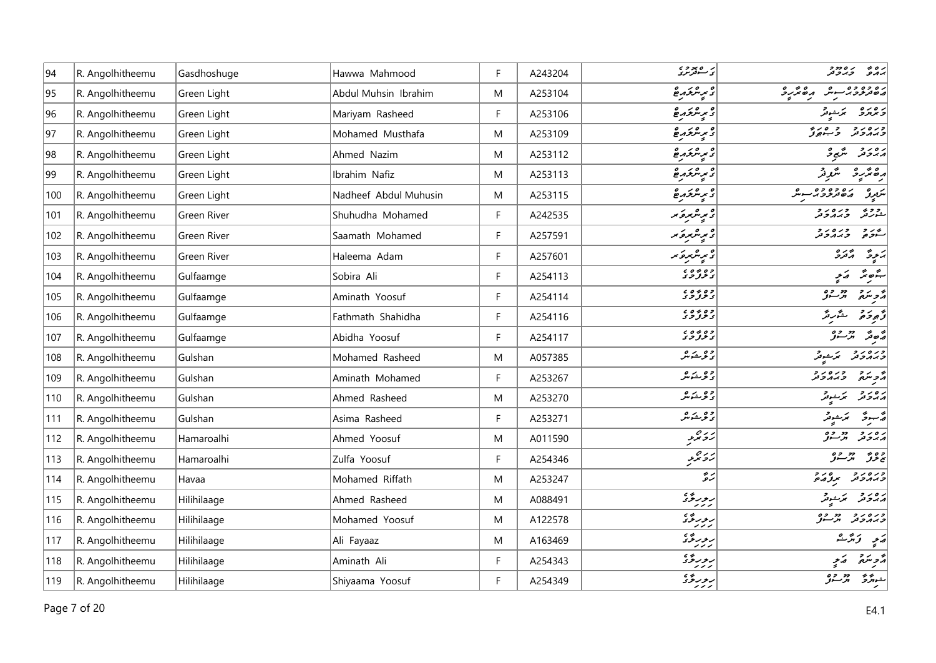| 94  | R. Angolhitheemu | Gasdhoshuge        | Hawwa Mahmood         | F  | A243204 | ر ۔ صوبے<br>کی سنگرمزی                           | ر ه و<br>برد و<br>ر ه دو و<br>تربر <del>و</del> تر |
|-----|------------------|--------------------|-----------------------|----|---------|--------------------------------------------------|----------------------------------------------------|
| 95  | R. Angolhitheemu | Green Light        | Abdul Muhsin Ibrahim  | M  | A253104 | د <sub>مو</sub> سر پخرم ه <mark></mark>          | ره وه وه<br>پر <i>ه تر پر چې</i> سوش<br>رە ئرىر د  |
| 96  | R. Angolhitheemu | Green Light        | Mariyam Rasheed       | F. | A253106 | ە بېرىش <i>رىقى</i><br>ئ                         | رەرە كەشەتر                                        |
| 97  | R. Angolhitheemu | Green Light        | Mohamed Musthafa      | M  | A253109 | ه بر عربر ه<br>د بر عربر ه                       | د پەر ئە<br>و ر ه ر و<br>د بر پر تر                |
| 98  | R. Angolhitheemu | Green Light        | Ahmed Nazim           | M  | A253112 | ا <sub>م</sub> حمد مشركة مربع                    | ەرەر ۋ<br>سَّرى شَر                                |
| 99  | R. Angolhitheemu | Green Light        | Ibrahim Nafiz         | M  | A253113 | وبرعر يره                                        | سٌروِرٌ<br>ەرھەترىر <sup>ە</sup>                   |
| 100 | R. Angolhitheemu | Green Light        | Nadheef Abdul Muhusin | M  | A253115 | ە <sub>مو</sub> شرىخەرى <u>ق</u>                 | ر ه د ه د ه ه<br>پره ترنوچ ژب سوش<br>سرمرو         |
| 101 | R. Angolhitheemu | Green River        | Shuhudha Mohamed      | F  | A242535 | ۇ بېرىئرى <i>رىكى</i> ر                          | ے جمیز میں<br>مشاہر فقر<br>و رە ر د<br>تر پروتر    |
| 102 | R. Angolhitheemu | Green River        | Saamath Mohamed       | F  | A257591 | د <sub>مو</sub> یٹر <sub>مرک</sub> ر<br>         | سەدە<br>و ر ه ر و<br><i>و پر</i> و تر              |
| 103 | R. Angolhitheemu | <b>Green River</b> | Haleema Adam          | F  | A257601 | ە <sub>مو</sub> ىترىرى <i>رى</i>                 | پور ہ<br>مرکز پ<br> پرٔ پرچ                        |
| 104 | R. Angolhitheemu | Gulfaamge          | Sobira Ali            | F. | A254113 | وه پره ،<br>د <del>و</del> نو <del>و</del> د     | يتومز<br>ەتىر                                      |
| 105 | R. Angolhitheemu | Gulfaamge          | Aminath Yoosuf        | F  | A254114 | وه په ه ،<br>د تروڅ د                            | دد بره<br>در سور<br>أأروسهم                        |
| 106 | R. Angolhitheemu | Gulfaamge          | Fathmath Shahidha     | F  | A254116 | وه و ه ه ،<br>  د نوگر د د                       | و مرد د<br>تر مورد م<br>ستەرقر                     |
| 107 | R. Angolhitheemu | Gulfaamge          | Abidha Yoosuf         | F  | A254117 | وه پوه ء<br>  <mark>ۍ نو</mark> ز و <sub>ک</sub> | ر<br>مُره تر<br>دد ده<br>در سو                     |
| 108 | R. Angolhitheemu | Gulshan            | Mohamed Rasheed       | M  | A057385 | د وي ش <sub>ک</sub> ر ه                          | ورەر و پرجونز                                      |
| 109 | R. Angolhitheemu | Gulshan            | Aminath Mohamed       | F  | A253267 | <sup>3</sup> وھ شەھر                             | و ر ه ر د<br>تر بر پر تر<br>ړځ سرچ                 |
| 110 | R. Angolhitheemu | Gulshan            | Ahmed Rasheed         | M  | A253270 | 3 مۇشەھر                                         | أرور و مرشوش                                       |
| 111 | R. Angolhitheemu | Gulshan            | Asima Rasheed         | F. | A253271 | <sup>3</sup> وھ شەھر                             | لأسود كالمشوقر                                     |
| 112 | R. Angolhitheemu | Hamaroalhi         | Ahmed Yoosuf          | M  | A011590 | رَدَ تَرْمِ                                      | بر ه بر د<br>م <i>رگ</i> د کر<br>ېږمبره            |
| 113 | R. Angolhitheemu | Hamaroalhi         | Zulfa Yoosuf          | F  | A254346 | ىر رە<br>ش <b>ە</b> ئىرىم                        | وه پور دو<br>بح فرق اور سوتو                       |
| 114 | R. Angolhitheemu | Havaa              | Mohamed Riffath       | M  | A253247 | رپچ                                              | כנסנכ<br>כמוכני תצום                               |
| 115 | R. Angolhitheemu | Hilihilaage        | Ahmed Rasheed         | M  | A088491 | ر ور د د د<br>بر بر                              | رەر پەيد                                           |
| 116 | R. Angolhitheemu | Hilihilaage        | Mohamed Yoosuf        | M  | A122578 | ر و ر و <sup>ی</sup><br>ر د ر                    | دد وه<br>و رە ر د<br>تر پر تر تر                   |
| 117 | R. Angolhitheemu | Hilihilaage        | Ali Fayaaz            | M  | A163469 | ار ورؤء<br><u>ربر ر</u>                          | أەسم وگريم                                         |
| 118 | R. Angolhitheemu | Hilihilaage        | Aminath Ali           | F. | A254343 | رورۇ،                                            | أروسرة<br>ەتىر                                     |
| 119 | R. Angolhitheemu | Hilihilaage        | Shiyaama Yoosuf       | F  | A254349 | ر ور د د د<br>بر بر                              | شەدگر گر<br>ېږم ده                                 |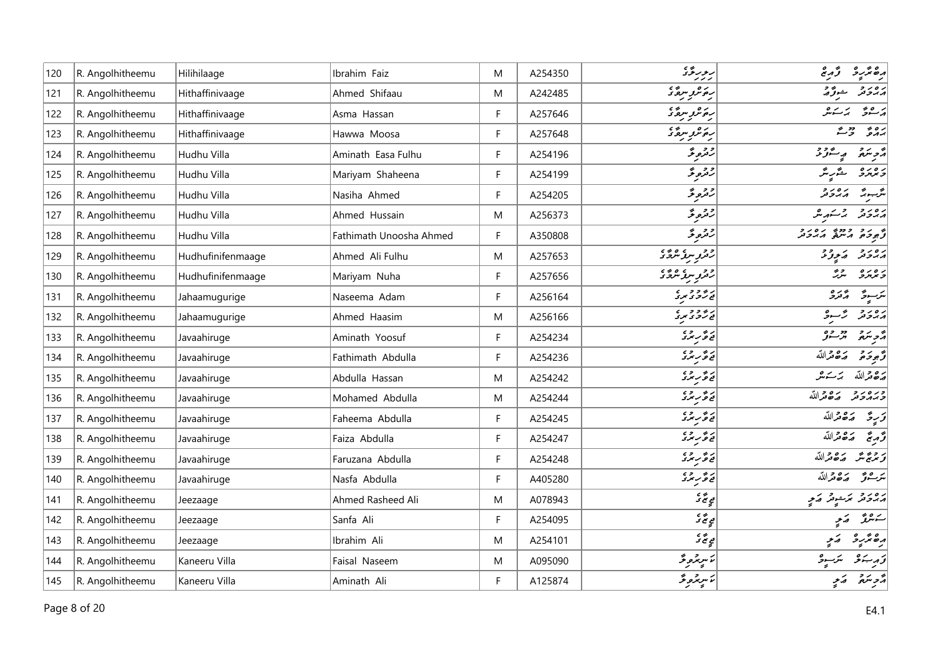| 120 | R. Angolhitheemu | Hilihilaage       | Ibrahim Faiz            | M           | A254350 | ر د ر د د ؟<br>۱                                  | ترمرج<br>ەھ ئ <sup>ۆ</sup> ر ۋ                          |
|-----|------------------|-------------------|-------------------------|-------------|---------|---------------------------------------------------|---------------------------------------------------------|
| 121 | R. Angolhitheemu | Hithaffinivaage   | Ahmed Shifaau           | M           | A242485 | <br>  پەھۇر سرچ ئى                                | بر 2 مر 2<br>مربر <del>5</del> تر<br>شوقر <i>ه</i><br>ر |
| 122 | R. Angolhitheemu | Hithaffinivaage   | Asma Hassan             | F           | A257646 | پەنزى <sub>ر موق</sub> دى<br>  پەنزىر مىرىقە ئ    | برسەپىر<br>ىرمەتى                                       |
| 123 | R. Angolhitheemu | Hithaffinivaage   | Hawwa Moosa             | F           | A257648 | رەۋرىر پەيج                                       | ر ه پر<br>پروگ<br>دو معه                                |
| 124 | R. Angolhitheemu | Hudhu Villa       | Aminath Easa Fulhu      | F           | A254196 | رقرعرمحر                                          | أأرضع ويستوفر                                           |
| 125 | R. Angolhitheemu | Hudhu Villa       | Mariyam Shaheena        | F           | A254199 | 2قرە ئۇ                                           | ر ه ر ه<br>د بربر د<br>شقەر بىگر                        |
| 126 | R. Angolhitheemu | Hudhu Villa       | Nasiha Ahmed            | $\mathsf F$ | A254205 | 2قرُهِ قُرْ                                       | بر 2 ر ح<br>م <i>ر</i> بر <del>و</del> تر<br>متزجير     |
| 127 | R. Angolhitheemu | Hudhu Villa       | Ahmed Hussain           | M           | A256373 | رقره و گ                                          | أرەرو وسىر مى                                           |
| 128 | R. Angolhitheemu | Hudhu Villa       | Fathimath Unoosha Ahmed | F           | A350808 | رقره و گ                                          | و د د دود د د د د                                       |
| 129 | R. Angolhitheemu | Hudhufinifenmaage | Ahmed Ali Fulhu         | M           | A257653 | ژور پیرو عرمهٔ د                                  | أرور والمتحوف                                           |
| 130 | R. Angolhitheemu | Hudhufinifenmaage | Mariyam Nuha            | F           | A257656 | ر د د <sub>م</sub> رسو شرځ د                      | ىترج<br>ر ه بر ه<br>تر <del>ب</del> ر بر                |
| 131 | R. Angolhitheemu | Jahaamugurige     | Naseema Adam            | F           | A256164 | ر ۶۶۶ مر <sub>ی</sub><br>محاک <sup>ل</sup> تر مرد | پر ہ<br>مرکز ژ<br>ىئرسىدۇ                               |
| 132 | R. Angolhitheemu | Jahaamugurige     | Ahmed Haasim            | M           | A256166 | ر ۶۶۶۶ و<br>مح تر <del>و</del> ۶ مری              | رەرو ئەسو                                               |
| 133 | R. Angolhitheemu | Javaahiruge       | Aminath Yoosuf          | F.          | A254234 | <br>  نئے حرکب سری                                | و سره دو ده<br>مرح مر                                   |
| 134 | R. Angolhitheemu | Javaahiruge       | Fathimath Abdulla       | F           | A254236 | ر پر د ه<br> فع قر سر پر د                        | قرج حرم حرمه وكالله                                     |
| 135 | R. Angolhitheemu | Javaahiruge       | Abdulla Hassan          | M           | A254242 | د پور د د ،<br>  ق حر مر بر د                     | رەقراللە برىكە                                          |
| 136 | R. Angolhitheemu | Javaahiruge       | Mohamed Abdulla         | M           | A254244 | ئەقرىرىدى                                         | وره رو ده دالله                                         |
| 137 | R. Angolhitheemu | Javaahiruge       | Faheema Abdulla         | F           | A254245 |                                                   | برە قراللە<br>ۇ رۇ                                      |
| 138 | R. Angolhitheemu | Javaahiruge       | Faiza Abdulla           | F           | A254247 |                                                   | قَرَمَ يَرْهُ قَرْاللّهِ                                |
| 139 | R. Angolhitheemu | Javaahiruge       | Faruzana Abdulla        | F           | A254248 | ئەقرىرىدى                                         | تر حريج مثر - مركز قرالله                               |
| 140 | R. Angolhitheemu | Javaahiruge       | Nasfa Abdulla           | F           | A405280 | ئەقرىرى                                           | تترعوش وكافدالله                                        |
| 141 | R. Angolhitheemu | Jeezaage          | Ahmed Rasheed Ali       | M           | A078943 | ءِ ج<br>في پخ ک                                   | أرواد أكراسي أأوالمجمج                                  |
| 142 | R. Angolhitheemu | Jeezaage          | Sanfa Ali               | F           | A254095 | فويح و                                            | سەھدىقە ھەمىيە                                          |
| 143 | R. Angolhitheemu | Jeezaage          | Ibrahim Ali             | M           | A254101 | جویج د                                            | دەندىر<br>ەتىر                                          |
| 144 | R. Angolhitheemu | Kaneeru Villa     | Faisal Naseem           | M           | A095090 | مأسر برتمو قر                                     | تەرىبىۋ                                                 |
| 145 | R. Angolhitheemu | Kaneeru Villa     | Aminath Ali             | F           | A125874 | ئەس <sub>رىم</sub> رىرى<br>ئ                      | أأروبتهم أأأتمج                                         |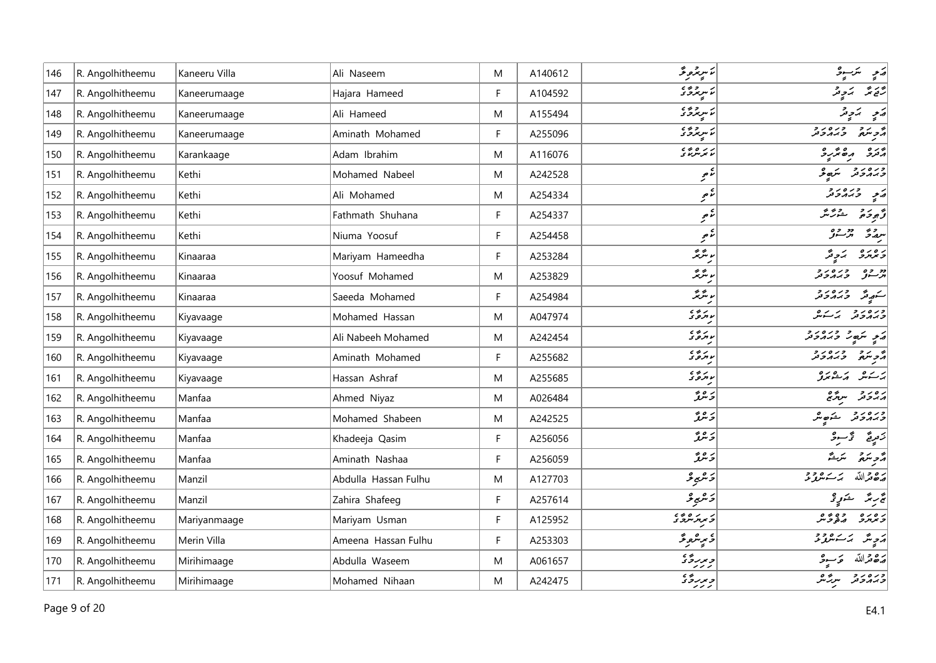| 146 | R. Angolhitheemu | Kaneeru Villa | Ali Naseem           | M           | A140612 | ئەسرىرى ئە                 | ىئرسەۋ<br>يمنج                                         |
|-----|------------------|---------------|----------------------|-------------|---------|----------------------------|--------------------------------------------------------|
| 147 | R. Angolhitheemu | Kaneerumaage  | Hajara Hameed        | F           | A104592 | ر<br>مأسو پر ژی            | پەر بە<br>رىخ ئىر                                      |
| 148 | R. Angolhitheemu | Kaneerumaage  | Ali Hameed           | M           | A155494 | ئەسر پر ئە <sup>ي</sup>    | ړې د په                                                |
| 149 | R. Angolhitheemu | Kaneerumaage  | Aminath Mohamed      | $\mathsf F$ | A255096 | پېښېږي کا                  | و ره ر و<br><i>و پر</i> و تر<br>پ <sup>و</sup> پر سرچ  |
| 150 | R. Angolhitheemu | Karankaage    | Adam Ibrahim         | M           | A116076 | ر ر ه و د ،<br>ما بر سرد د | پور ہ<br>پر تر تر<br>برە ئۆر ۋ                         |
| 151 | R. Angolhitheemu | Kethi         | Mohamed Nabeel       | M           | A242528 | تنمعج                      | و ر ه ر د<br>تر پر ژ تر<br>سرّە ئر                     |
| 152 | R. Angolhitheemu | Kethi         | Ali Mohamed          | M           | A254334 | ء<br>موھ                   | أەمو دىرەرد                                            |
| 153 | R. Angolhitheemu | Kethi         | Fathmath Shuhana     | F           | A254337 | ء<br>موھ                   | و و دورو<br>و دوره شور شور                             |
| 154 | R. Angolhitheemu | Kethi         | Niuma Yoosuf         | F           | A254458 | اءِ<br>الأمو               | $\overline{\mathcal{Z}}$<br>دو د ه<br>در سور           |
| 155 | R. Angolhitheemu | Kinaaraa      | Mariyam Hameedha     | $\mathsf F$ | A253284 | ىدىشرىتىگە                 | دەرە بەدۇر                                             |
| 156 | R. Angolhitheemu | Kinaaraa      | Yoosuf Mohamed       | M           | A253829 | ر متریخه                   | و ره ر د<br><i>و پر پ</i> رتر<br>در مره<br>در سرو      |
| 157 | R. Angolhitheemu | Kinaaraa      | Saeeda Mohamed       | F           | A254984 | ىرىترىتر                   | و رە ر د<br><i>د بر</i> گرىز<br>سئەرىتىر               |
| 158 | R. Angolhitheemu | Kiyavaage     | Mohamed Hassan       | M           | A047974 | ر د ه ،<br>د گرو د         | ورەرو پەسكىر                                           |
| 159 | R. Angolhitheemu | Kiyavaage     | Ali Nabeeh Mohamed   | M           | A242454 | ر بر د ،<br>د مرکو د       | ړې شوه د دره د                                         |
| 160 | R. Angolhitheemu | Kiyavaage     | Aminath Mohamed      | F           | A255682 | ر د د ،<br>د دره د         | و ره ر و<br>تر <i>پر</i> وتر<br>پ <sup>ر</sup> تر سرچ  |
| 161 | R. Angolhitheemu | Kiyavaage     | Hassan Ashraf        | M           | A255685 | ر د د ،<br>د دره د         | برسەش برىشىدۇ                                          |
| 162 | R. Angolhitheemu | Manfaa        | Ahmed Niyaz          | M           | A026484 | ىز شرىچ                    | גפנ תוצם                                               |
| 163 | R. Angolhitheemu | Manfaa        | Mohamed Shabeen      | M           | A242525 | ىر ھەمچ                    | ورەرو شەھىر                                            |
| 164 | R. Angolhitheemu | Manfaa        | Khadeeja Qasim       | F           | A256056 | ئەشقە                      | و مسور<br>ر<br>زَمَدِيَّ                               |
| 165 | R. Angolhitheemu | Manfaa        | Aminath Nashaa       | F           | A256059 | ئەشقە                      | و څخه سرچ<br>سرَحةٌ                                    |
| 166 | R. Angolhitheemu | Manzil        | Abdulla Hassan Fulhu | M           | A127703 | ئەنتىبى پى                 | بر25 الله<br>پر کے منگلی تو                            |
| 167 | R. Angolhitheemu | Manzil        | Zahira Shafeeg       | $\mathsf F$ | A257614 | ۇ ئىرىمۇ                   | چ <i>ريگ ڪورِ و</i>                                    |
| 168 | R. Angolhitheemu | Mariyanmaage  | Mariyam Usman        | F           | A125952 | ر بەرەپە<br>5 بىرەر سرچە   | و ه و و ه<br>مرغو څر<br>ر ه ر ه<br><del>د</del> بربرگر |
| 169 | R. Angolhitheemu | Merin Villa   | Ameena Hassan Fulhu  | F           | A253303 | د بر یثرو ژ                | أرَجِسٌ بُرَ يَسْتَغْفِرُ مُدْ                         |
| 170 | R. Angolhitheemu | Mirihimaage   | Abdulla Waseem       | M           | A061657 | وبررده                     | مَدْهُ مَرْاللّه وَ سِورْ                              |
| 171 | R. Angolhitheemu | Mirihimaage   | Mohamed Nihaan       | M           | A242475 | <br>  د برر د د            | ورەرو سەھ                                              |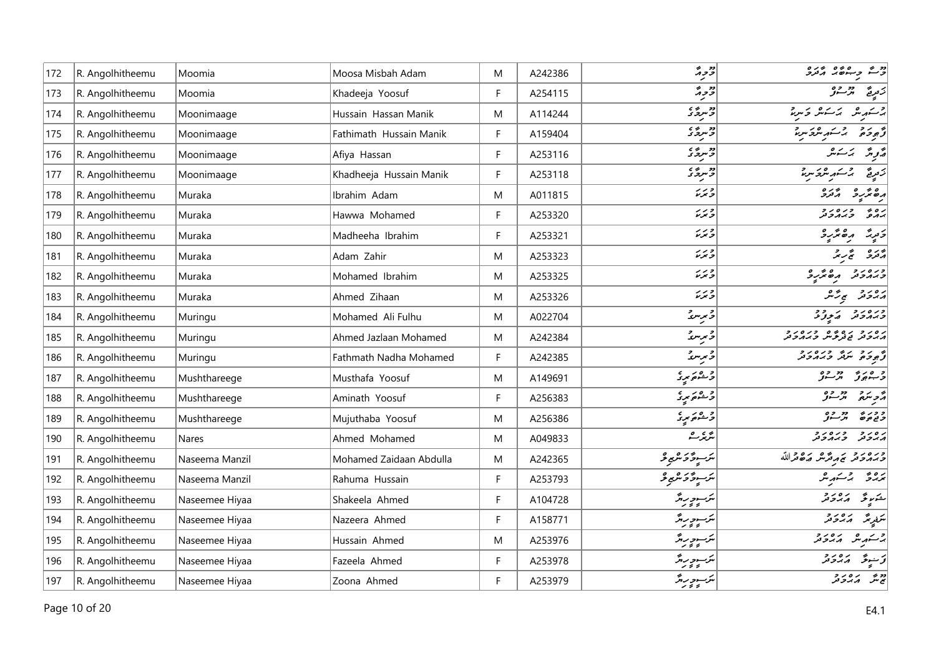| 172 | R. Angolhitheemu | Moomia         | Moosa Misbah Adam       | M           | A242386 | ودير                           | وقد وجده وره                                               |
|-----|------------------|----------------|-------------------------|-------------|---------|--------------------------------|------------------------------------------------------------|
| 173 | R. Angolhitheemu | Moomia         | Khadeeja Yoosuf         | E           | A254115 | ادو پژ                         | دو 2.2<br>در سوز<br>ئرَىمٍدٍ<br>سَ                         |
| 174 | R. Angolhitheemu | Moonimaage     | Hussain Hassan Manik    | M           | A114244 | دو په په<br>د سرچ د            | يمسكهاش المرسكس كالبرج                                     |
| 175 | R. Angolhitheemu | Moonimaage     | Fathimath Hussain Manik | F           | A159404 | دو په په<br>د سرچ د            | جر سے مر ملز کے سربر<br>و څوخه                             |
| 176 | R. Angolhitheemu | Moonimaage     | Afiya Hassan            | $\mathsf F$ | A253116 | وو<br>د سرچ <sub>ک</sub>       | وتمويژ<br>برسەيىتىر                                        |
| 177 | R. Angolhitheemu | Moonimaage     | Khadheeja Hussain Manik | $\mathsf F$ | A253118 | دو په په<br>د سرچ د            | تزىرىچ<br>جر کے مر مرکز کے سربر                            |
| 178 | R. Angolhitheemu | Muraka         | Ibrahim Adam            | M           | A011815 | د ر ر<br>ر بر ر                | קסת כי הנקס<br>קסת כ                                       |
| 179 | R. Angolhitheemu | Muraka         | Hawwa Mohamed           | F           | A253320 | وبرر                           | ر ە بە<br>بەد ق<br>و ره ر د<br><i>د ب</i> رگرفر            |
| 180 | R. Angolhitheemu | Muraka         | Madheeha Ibrahim        | F           | A253321 | ويرز                           | ىر مور <sup>ى</sup><br>ئە<br>ەر ھەترىر <i>3</i>            |
| 181 | R. Angolhitheemu | Muraka         | Adam Zahir              | M           | A253323 | ويرز                           | پەرە<br>مەنىرى<br>پچ سر پخه                                |
| 182 | R. Angolhitheemu | Muraka         | Mohamed Ibrahim         | M           | A253325 | ويرز                           | و ره ر د<br><i>و پر</i> پر تر<br>برە ئۆرۈ                  |
| 183 | R. Angolhitheemu | Muraka         | Ahmed Zihaan            | M           | A253326 | ويرز                           | ړه پر پر عم                                                |
| 184 | R. Angolhitheemu | Muringu        | Mohamed Ali Fulhu       | M           | A022704 | 3 برسرم                        | כממכת התנצ                                                 |
| 185 | R. Angolhitheemu | Muringu        | Ahmed Jazlaan Mohamed   | M           | A242384 | د برسر<br>                     | ر ہ ر د برہ ہ ہ د د ہ ر د<br>ג ر د تر تو تر تر تر د ر د تر |
| 186 | R. Angolhitheemu | Muringu        | Fathmath Nadha Mohamed  | F           | A242385 | ومرسر                          | تحج و و ده در در د                                         |
| 187 | R. Angolhitheemu | Mushthareege   | Musthafa Yoosuf         | M           | A149691 | اتر شهر در بر<br>افز شهره مورد | و ەرەپ دەرە                                                |
| 188 | R. Angolhitheemu | Mushthareege   | Aminath Yoosuf          | F           | A256383 | د شوړ <sub>مو</sub> ځ          | د سره د ده وه                                              |
| 189 | R. Angolhitheemu | Mushthareege   | Mujuthaba Yoosuf        | M           | A256386 | د شوړې په <sup>پ</sup>         | و و ر پر<br>تر قع ح<br>دد حره                              |
| 190 | R. Angolhitheemu | Nares          | Ahmed Mohamed           | M           | A049833 | متزبئر مشر                     | ג סגב בג סגב<br>גגבע בגגבע                                 |
| 191 | R. Angolhitheemu | Naseema Manzil | Mohamed Zaidaan Abdulla | M           | A242365 | <br>  سرسوچە تەرىپى<br>        | ورەرو برمزش مەھىراللە                                      |
| 192 | R. Angolhitheemu | Naseema Manzil | Rahuma Hussain          | $\mathsf F$ | A253793 | ىئەسى <i>ر ئەڭ ئىگر</i> بۇ     | برە ئەسىر ش                                                |
| 193 | R. Angolhitheemu | Naseemee Hiyaa | Shakeela Ahmed          | $\mathsf F$ | A104728 | ىئەسىزىرىدىگە<br>ئەسىرىدىكە    | بر ٥ پر و<br>م <i>ر</i> بر <del>و</del> تر<br>  شەرىقى     |
| 194 | R. Angolhitheemu | Naseemee Hiyaa | Nazeera Ahmed           | $\mathsf F$ | A158771 | مەسىرىر بەر<br>ئىسمىقىلىپ      |                                                            |
| 195 | R. Angolhitheemu | Naseemee Hiyaa | Hussain Ahmed           | M           | A253976 | ىئەسىرىرىدىگە<br>ئەسىرىدىن     | ج سکه شرکت مرکز در در در سرکت می<br>مسلمانی                |
| 196 | R. Angolhitheemu | Naseemee Hiyaa | Fazeela Ahmed           | $\mathsf F$ | A253978 | ىئەسەمەر بىر<br>ئەسىمە         | ۇ سىيۇ<br>ر ٥ ر و<br>د بر <del>و</del> تر                  |
| 197 | R. Angolhitheemu | Naseemee Hiyaa | Zoona Ahmed             | F           | A253979 | ىئەسىز بەرگە<br>سىسىم ئە       | دد می در در د<br>بح س                                      |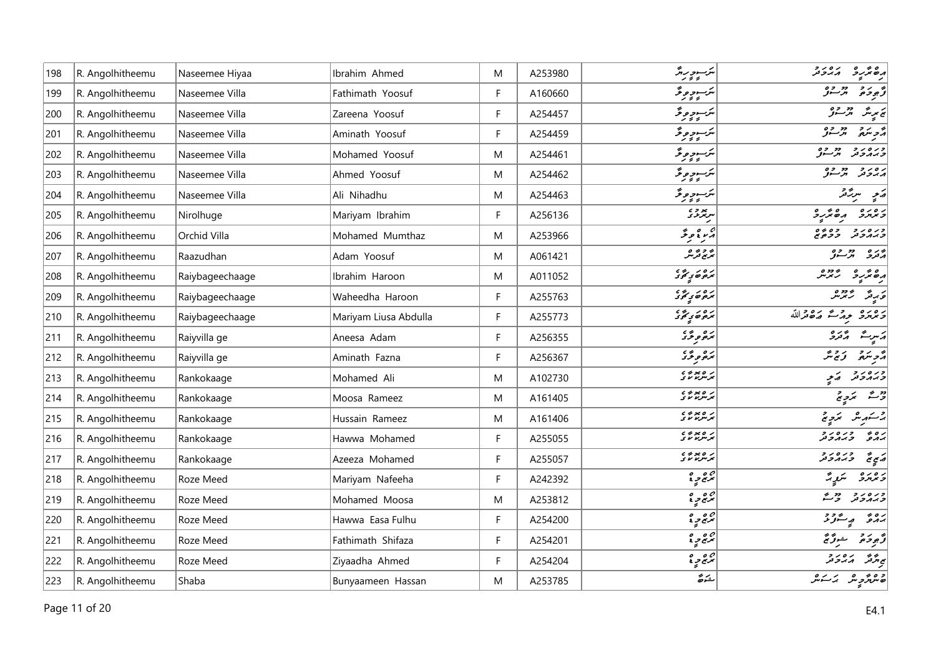| 198 | R. Angolhitheemu | Naseemee Hiyaa  | Ibrahim Ahmed         | M           | A253980 | مكرسوچە رەڭر<br>مەسىم ئەسىم           | بر 2 ر ح<br>م <i>ر</i> بر <del>5</del> تر<br>5,501          |
|-----|------------------|-----------------|-----------------------|-------------|---------|---------------------------------------|-------------------------------------------------------------|
| 199 | R. Angolhitheemu | Naseemee Villa  | Fathimath Yoosuf      | F           | A160660 | ىئرسوچە بۇ<br>ئىستىقى بەر             | دد حره<br>و بر د<br>ترموز م                                 |
| 200 | R. Angolhitheemu | Naseemee Villa  | Zareena Yoosuf        | F.          | A254457 | ىئرسوچە بۇ                            | ئج مېرىتىر<br>در حيدو                                       |
| 201 | R. Angolhitheemu | Naseemee Villa  | Aminath Yoosuf        | F           | A254459 | ىئرسوچە بۇ                            | ړ څر سرچ<br>ېز پەيي                                         |
| 202 | R. Angolhitheemu | Naseemee Villa  | Mohamed Yoosuf        | M           | A254461 | ىئەسپە <sub>چ جو</sub> ىگە            | دد حرو<br>و ر ه ر د<br>تر پر ژ تر                           |
| 203 | R. Angolhitheemu | Naseemee Villa  | Ahmed Yoosuf          | M           | A254462 | ىئەسىرە دۇ.<br>ئىستىقىنىڭ             | גם ג' מי כם<br>ג'ג' כנק ה                                   |
| 204 | R. Angolhitheemu | Naseemee Villa  | Ali Nihadhu           | M           | A254463 | ىئەسىرە دېگە<br>ئىقلىقىلىقى           | أەسمجە سرچىقر                                               |
| 205 | R. Angolhitheemu | Nirolhuge       | Mariyam Ibrahim       | F           | A256136 | بر و د<br>سرپونوی                     |                                                             |
| 206 | R. Angolhitheemu | Orchid Villa    | Mohamed Mumthaz       | M           | A253966 | ەر بە ئوقر                            | 0 <i>4 0 7</i><br>7 7 9 7 7<br>و ر ه ر د<br>تر پر تر تر     |
| 207 | R. Angolhitheemu | Raazudhan       | Adam Yoosuf           | M           | A061421 | یر و یر ه<br>مربع تر س                | ېږم ده<br>پور ہ<br>پرترنژ                                   |
| 208 | R. Angolhitheemu | Raiybageechaage | Ibrahim Haroon        | M           | A011052 | ره د په ده د                          | بر دو ه<br>رنجو نگر<br>ەر ھەتمەر 2<br>ر                     |
| 209 | R. Angolhitheemu | Raiybageechaage | Waheedha Haroon       | F           | A255763 | بره د په په د                         | پر دو ه<br>رنجو پس<br>ئر پر پڙ<br>ح                         |
| 210 | R. Angolhitheemu | Raiybageechaage | Mariyam Liusa Abdulla | F.          | A255773 | ره د په ده د                          | رەرە بەر ئەھىراللە                                          |
| 211 | R. Angolhitheemu | Raiyvilla ge    | Aneesa Adam           | $\mathsf F$ | A256355 | ره<br>مر <sub>حوم</sub> ونړ           | ړَ سربے گرمزد                                               |
| 212 | R. Angolhitheemu | Raiyvilla ge    | Aminath Fazna         | F           | A256367 | ره<br>مر <sub>حوم</sub> ونړ           | أزمر بمرد<br>تو نج مگر                                      |
| 213 | R. Angolhitheemu | Rankokaage      | Mohamed Ali           | M           | A102730 | ر ٥ پر دي<br>برس لا ک                 | ورەرد كې                                                    |
| 214 | R. Angolhitheemu | Rankokaage      | Moosa Rameez          | M           | A161405 | ر ٥ پر <i>٤ ٥</i><br>برس <i>٧ ٧ ي</i> | وژنځ تر <sub>و</sub> یځ<br>د                                |
| 215 | R. Angolhitheemu | Rankokaage      | Hussain Rameez        | M           | A161406 | ر ٥ پر <i>٤ ٥</i><br>برس <i>٧ ٧ ي</i> | بر کشمر مشر میکردیم                                         |
| 216 | R. Angolhitheemu | Rankokaage      | Hawwa Mohamed         | $\mathsf F$ | A255055 | ر ٥ پر <u>»</u> ۽<br>برس <i>د</i> ا ر | ورەرد<br>ر ه و<br>برد و                                     |
| 217 | R. Angolhitheemu | Rankokaage      | Azeeza Mohamed        | F           | A255057 | ر ەيدىر<br>بىر سرىرىرى                | و رە ر د<br>تر پر پر تر<br>لهُ بِي تَح                      |
| 218 | R. Angolhitheemu | Roze Meed       | Mariyam Nafeeha       | F           | A242392 | 0 مرج حر ۽<br>مربح ح <sub>و</sub> ۽   | رەرە سَعٍ پَّ                                               |
| 219 | R. Angolhitheemu | Roze Meed       | Mohamed Moosa         | M           | A253812 | ە ە<br>ئىرىم يە ي                     | و ر ه ر د<br>تر پر تر تر                                    |
| 220 | R. Angolhitheemu | Roze Meed       | Hawwa Easa Fulhu      | F           | A254200 |                                       | برە ئەسەدى                                                  |
| 221 | R. Angolhitheemu | Roze Meed       | Fathimath Shifaza     | $\mathsf F$ | A254201 | ە ھەم ھەم<br>مەنبى ھەم                | و و ده شوو ه                                                |
| 222 | R. Angolhitheemu | Roze Meed       | Ziyaadha Ahmed        | F           | A254204 | ە ھەم ھ<br>مەنبى ھەم                  | ې پر ژگر<br>پ<br>بر ٥ پر و<br>م <i>ر</i> بر <del>و</del> تر |
| 223 | R. Angolhitheemu | Shaba           | Bunyaameen Hassan     | M           | A253785 | شەھ                                   | ەمەر ئەسكەر                                                 |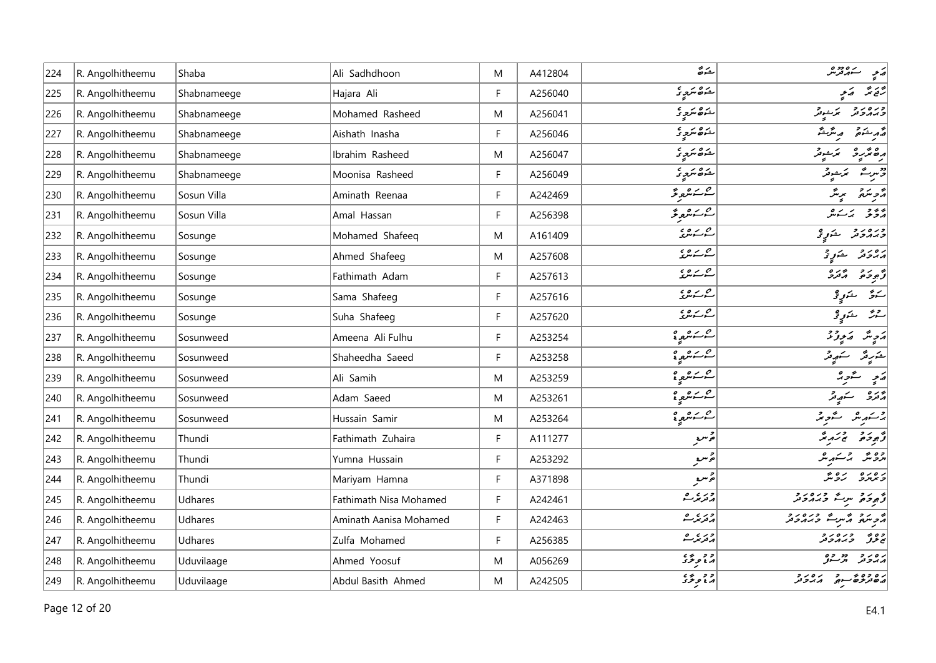| 224 | R. Angolhitheemu | Shaba          | Ali Sadhdhoon          | M  | A412804 | شەھ                                              | ے مردر مر<br>رئمجه                            |
|-----|------------------|----------------|------------------------|----|---------|--------------------------------------------------|-----------------------------------------------|
| 225 | R. Angolhitheemu | Shabnameege    | Hajara Ali             | F. | A256040 | <br>  شەھ سر <sub>ىچە</sub> ئ                    | رَّيْ پُرَ مَرِ                               |
| 226 | R. Angolhitheemu | Shabnameege    | Mohamed Rasheed        | M  | A256041 | ے ک <i>ے سرح ک</i>                               | و ره ر د<br>د بر د د تر<br>ىكەپ تەقر<br>ئە    |
| 227 | R. Angolhitheemu | Shabnameege    | Aishath Inasha         | F  | A256046 | الشَوْهُ مَرْدِ ءِ                               | ۇ مەشىرە<br>مەم<br>ە پەتتى-ئە                 |
| 228 | R. Angolhitheemu | Shabnameege    | Ibrahim Rasheed        | M  | A256047 | ے کا سر <sub>حی</sub> ک                          | ە ھەترىر <sup>ە</sup><br>تزحيفر               |
| 229 | R. Angolhitheemu | Shabnameege    | Moonisa Rasheed        | F  | A256049 | ے ک <i>ے سرچ</i> ک                               |                                               |
| 230 | R. Angolhitheemu | Sosun Villa    | Aminath Reenaa         | F  | A242469 | <u>م يە ئىرو ئ</u> ر                             | أأديتموه بريثر                                |
| 231 | R. Angolhitheemu | Sosun Villa    | Amal Hassan            | F  | A256398 | استمستقرعه                                       | ۇۋۇ بەسكىر                                    |
| 232 | R. Angolhitheemu | Sosunge        | Mohamed Shafeeq        | M  | A161409 | تنكسكرهري                                        | و ر ه ر د<br>تر پر ژ تر<br>ڪورِ ٿو            |
| 233 | R. Angolhitheemu | Sosunge        | Ahmed Shafeeg          | M  | A257608 | بتجر يرهء                                        | رەر ئىرىق                                     |
| 234 | R. Angolhitheemu | Sosunge        | Fathimath Adam         | F  | A257613 | <u>مى ئەيتى ي</u>                                | و څو څخه<br>پور ہ<br>مرتزو                    |
| 235 | R. Angolhitheemu | Sosunge        | Sama Shafeeg           | F  | A257616 | مشر يەر يە                                       | سَرَّ جَمَعٍ وَ                               |
| 236 | R. Angolhitheemu | Sosunge        | Suha Shafeeg           | F  | A257620 | <u>مى ئەيتى ي</u>                                | <u>رم شوره</u>                                |
| 237 | R. Angolhitheemu | Sosunweed      | Ameena Ali Fulhu       | F  | A253254 | $\frac{1}{2}$                                    | ړې پرېږي                                      |
| 238 | R. Angolhitheemu | Sosunweed      | Shaheedha Saeed        | F  | A253258 | $\sqrt[2]{\frac{2}{\sqrt{2}}\frac{1}{\sqrt{2}}}$ | ڪريگر ڪ <i>ھي</i> ٽر                          |
| 239 | R. Angolhitheemu | Sosunweed      | Ali Samih              | M  | A253259 | $\sqrt{2\pi\epsilon}$                            | $2, 5 - 27$                                   |
| 240 | R. Angolhitheemu | Sosunweed      | Adam Saeed             | M  | A253261 | $\overline{\mathcal{E}_{\mathbf{z}}$             | پر ده<br>مرکز<br>سکھ پیٹر                     |
| 241 | R. Angolhitheemu | Sosunweed      | Hussain Samir          | M  | A253264 | استمتعفي                                         | برسكيريثر الشرير                              |
| 242 | R. Angolhitheemu | Thundi         | Fathimath Zuhaira      | F  | A111277 | احوسع                                            | اؤجوذة<br>ح ئەمەمىگە<br>ئ                     |
| 243 | R. Angolhitheemu | Thundi         | Yumna Hussain          | F  | A253292 | اقوسع                                            | وەش ئەسىر                                     |
| 244 | R. Angolhitheemu | Thundi         | Mariyam Hamna          | F  | A371898 | أقوسع                                            | رەرە رەپر                                     |
| 245 | R. Angolhitheemu | <b>Udhares</b> | Fathimath Nisa Mohamed | F  | A242461 | د ر ، م<br>مرمرسه                                | وتجوده سرك وبرورد                             |
| 246 | R. Angolhitheemu | Udhares        | Aminath Aanisa Mohamed | F  | A242463 | ەزىر ئە                                          | הכית היישה כמהכת                              |
| 247 | R. Angolhitheemu | <b>Udhares</b> | Zulfa Mohamed          | F  | A256385 | د ري ه<br>مرمرسه                                 | و رە ر د<br>تر پر تر تر<br>ج بحر تو<br>سخ فرق |
| 248 | R. Angolhitheemu | Uduvilaage     | Ahmed Yoosuf           | M  | A056269 | د د په په<br>مرغونه                              | גם ג' כב פס<br>הגב <i>ה' ת' –</i> וצ          |
| 249 | R. Angolhitheemu | Uduvilaage     | Abdul Basith Ahmed     | M  | A242505 | د د په په<br>مرغونه                              | נסכם ב- נסנב<br>גםנק <i>בם – הגב</i> נג       |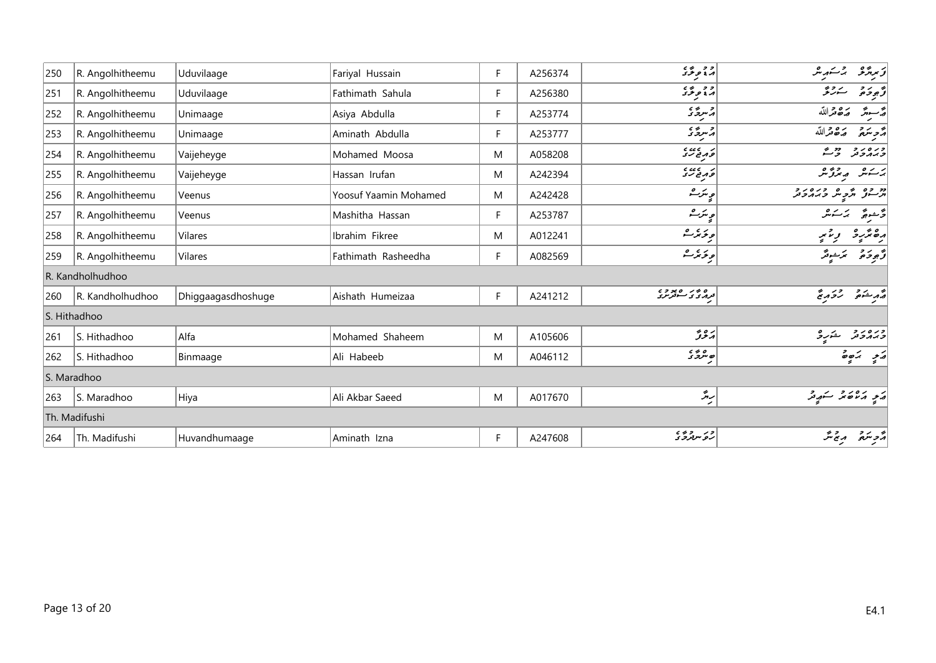| 250 | R. Angolhitheemu | Uduvilaage         | Fariyal Hussain       | F.        | A256374 | د د په په<br>مروغ د                    | أق. يركز فر المريكر                    |
|-----|------------------|--------------------|-----------------------|-----------|---------|----------------------------------------|----------------------------------------|
| 251 | R. Angolhitheemu | Uduvilaage         | Fathimath Sahula      | F.        | A256380 | لرة ويحمز                              | ا توجو څو<br>سترترى                    |
| 252 | R. Angolhitheemu | Unimaage           | Asiya Abdulla         | F         | A253774 | پر سرچ <sup>ي</sup>                    | الحج سەدىگە<br>يەھ قراللە              |
| 253 | R. Angolhitheemu | Unimaage           | Aminath Abdulla       | F         | A253777 | ج سرچ <sup>ي</sup>                     | مُحرَّسَةً مَصْحَراللَّه               |
| 254 | R. Angolhitheemu | Vaijeheyge         | Mohamed Moosa         | M         | A058208 | ر<br>  تو پر قرم تر ت                  | وره دو دور<br>وسه                      |
| 255 | R. Angolhitheemu | Vaijeheyge         | Hassan Irufan         | M         | A242394 | ر مری دی<br>  تر مرگ                   | ئەسەھرىسى ھەيجرىتىلە                   |
| 256 | R. Angolhitheemu | Veenus             | Yoosuf Yaamin Mohamed | M         | A242428 | ءِ سَرَتْہ                             | ו כם הצבית כמחכת<br>העינוך הצבית כמחכת |
| 257 | R. Angolhitheemu | Veenus             | Mashitha Hassan       | F         | A253787 | ءِ سَرَتْہ                             | ۇخىم ئەسكىر                            |
| 258 | R. Angolhitheemu | Vilares            | Ibrahim Fikree        | M         | A012241 | ە ئەبۇر شە                             | ا دەنئەر ۋ<br>و بر تنویه               |
| 259 | R. Angolhitheemu | Vilares            | Fathimath Rasheedha   | F         | A082569 | ە ئەبۇر شە                             | وَجوحر مَم يَكِ يَمْرُ                 |
|     | R. Kandholhudhoo |                    |                       |           |         |                                        |                                        |
| 260 | R. Kandholhudhoo | Dhiggaagasdhoshuge | Aishath Humeizaa      | F         | A241212 | ہ رہ برے بر و ہ<br>توہر تر کی سسوتو رو | و المستحق المتحرم من                   |
|     | S. Hithadhoo     |                    |                       |           |         |                                        |                                        |
| 261 | S. Hithadhoo     | Alfa               | Mohamed Shaheem       | M         | A105606 | ره و                                   | ورەرو ئىرو                             |
| 262 | S. Hithadhoo     | Binmaage           | Ali Habeeb            | M         | A046112 | ە ئىرى <i>ج</i> ي                      | $rac{2}{2}$                            |
|     | S. Maradhoo      |                    |                       |           |         |                                        |                                        |
| 263 | S. Maradhoo      | Hiya               | Ali Akbar Saeed       | ${\sf M}$ | A017670 | ىرىتر                                  | أيزم أيره كالمحتمد سكرما               |
|     | Th. Madifushi    |                    |                       |           |         |                                        |                                        |
| 264 | Th. Madifushi    | Huvandhumaage      | Aminath Izna          | F         | A247608 | ور سروره د<br>ره سربرو د               | ۇ جە ئىرى <i>م</i><br>ەرىج ئىگر        |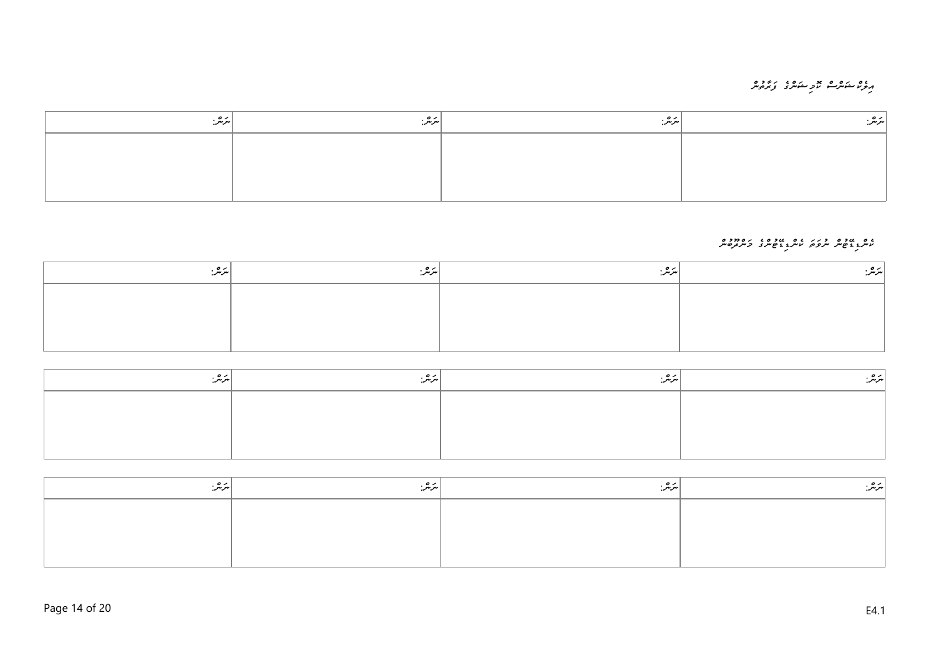## *w7qAn8m? sCw7mRo>u; wEw7mRw;sBo<*

| ' مرمر | 'يئرىثر: |
|--------|----------|
|        |          |
|        |          |
|        |          |

## *w7q9r@w7m> sCw7qHtFoFw7s; mAm=q7 w7qHtFoFw7s;*

| ىر تە | $\mathcal{O} \times$<br>$\sim$ | $\sim$<br>. . | لترنثر |
|-------|--------------------------------|---------------|--------|
|       |                                |               |        |
|       |                                |               |        |
|       |                                |               |        |

| $\frac{2}{n}$ | $^{\circ}$ | $\frac{2}{n}$ | $^{\circ}$<br>سرسر. |
|---------------|------------|---------------|---------------------|
|               |            |               |                     |
|               |            |               |                     |
|               |            |               |                     |

| ىرتىر: | 。<br>سر سر | .,<br>مرسر |
|--------|------------|------------|
|        |            |            |
|        |            |            |
|        |            |            |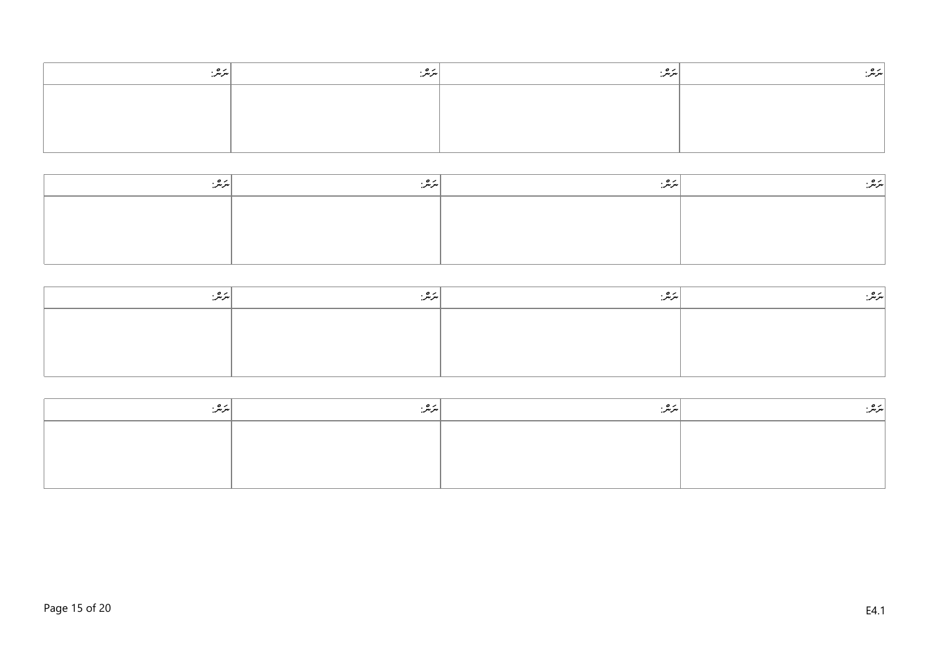| يزهر | $^{\circ}$ | ىئرىتر: |  |
|------|------------|---------|--|
|      |            |         |  |
|      |            |         |  |
|      |            |         |  |

| متريثر به | 。<br>'سرسر'۔ | يتزيترا | سرسر |
|-----------|--------------|---------|------|
|           |              |         |      |
|           |              |         |      |
|           |              |         |      |

| ىئرىتر. | $\sim$ | ا بر هه. | لىرىش |
|---------|--------|----------|-------|
|         |        |          |       |
|         |        |          |       |
|         |        |          |       |

| 。<br>مرس. | $\overline{\phantom{a}}$<br>مر سر | يتريثر |
|-----------|-----------------------------------|--------|
|           |                                   |        |
|           |                                   |        |
|           |                                   |        |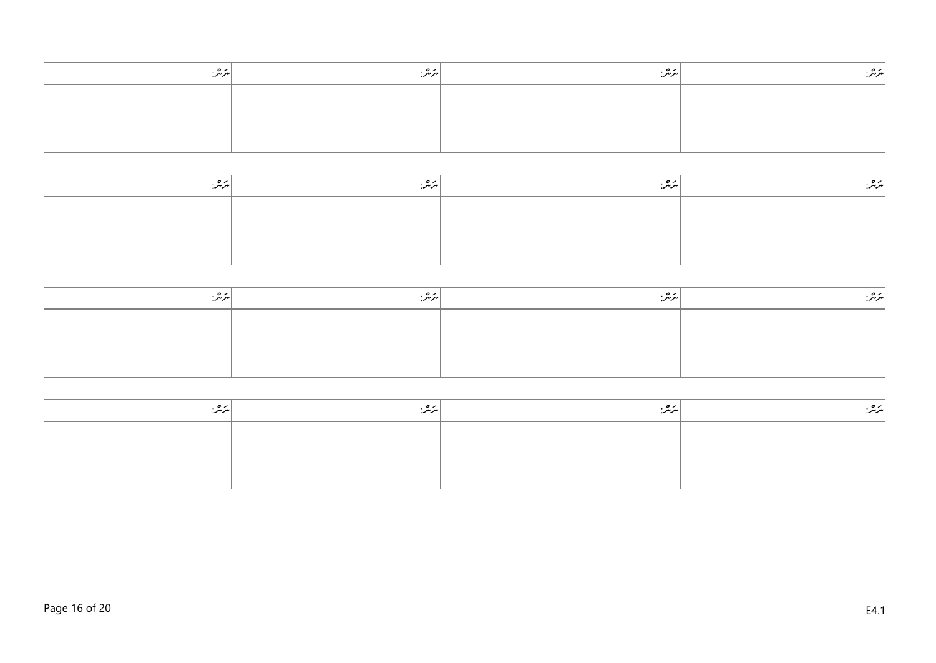| ير هو . | $\overline{\phantom{a}}$ | يرمر | اير هنه. |
|---------|--------------------------|------|----------|
|         |                          |      |          |
|         |                          |      |          |
|         |                          |      |          |

| ىر تىر: | $\circ$ $\sim$<br>" سرسر . | يترمير | o . |
|---------|----------------------------|--------|-----|
|         |                            |        |     |
|         |                            |        |     |
|         |                            |        |     |

| 'تترنثر: | 。<br>,,,, |  |
|----------|-----------|--|
|          |           |  |
|          |           |  |
|          |           |  |

|  | . ه |
|--|-----|
|  |     |
|  |     |
|  |     |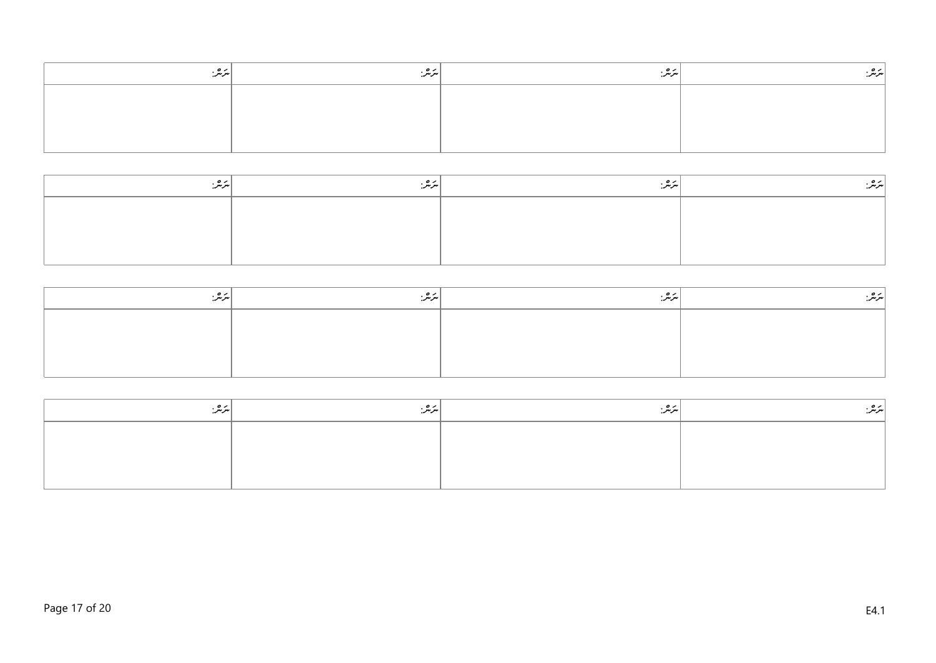| ير هو . | $\overline{\phantom{a}}$ | يرمر | اير هنه. |
|---------|--------------------------|------|----------|
|         |                          |      |          |
|         |                          |      |          |
|         |                          |      |          |

| ىبرىر. | $\sim$<br>ا سرسر . | يئرمثر | o . |
|--------|--------------------|--------|-----|
|        |                    |        |     |
|        |                    |        |     |
|        |                    |        |     |

| الترنثر: | ' مرتكز: | الترنثر: | .,<br>سرسر. |
|----------|----------|----------|-------------|
|          |          |          |             |
|          |          |          |             |
|          |          |          |             |

|  | . ه |
|--|-----|
|  |     |
|  |     |
|  |     |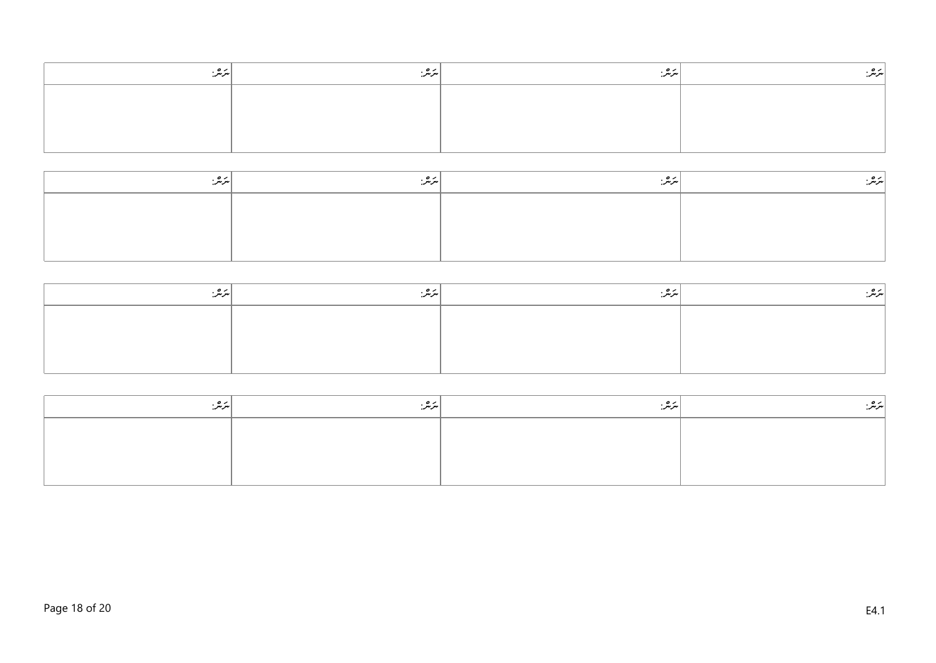| $\cdot$ | 。 | $\frac{\circ}{\cdot}$ | $\sim$<br>سرسر |
|---------|---|-----------------------|----------------|
|         |   |                       |                |
|         |   |                       |                |
|         |   |                       |                |

| يريثن | ' سرسر . |  |
|-------|----------|--|
|       |          |  |
|       |          |  |
|       |          |  |

| بر ه | . ه | $\sim$<br>سرسر |  |
|------|-----|----------------|--|
|      |     |                |  |
|      |     |                |  |
|      |     |                |  |

| 。<br>. س | ىرىىر |  |
|----------|-------|--|
|          |       |  |
|          |       |  |
|          |       |  |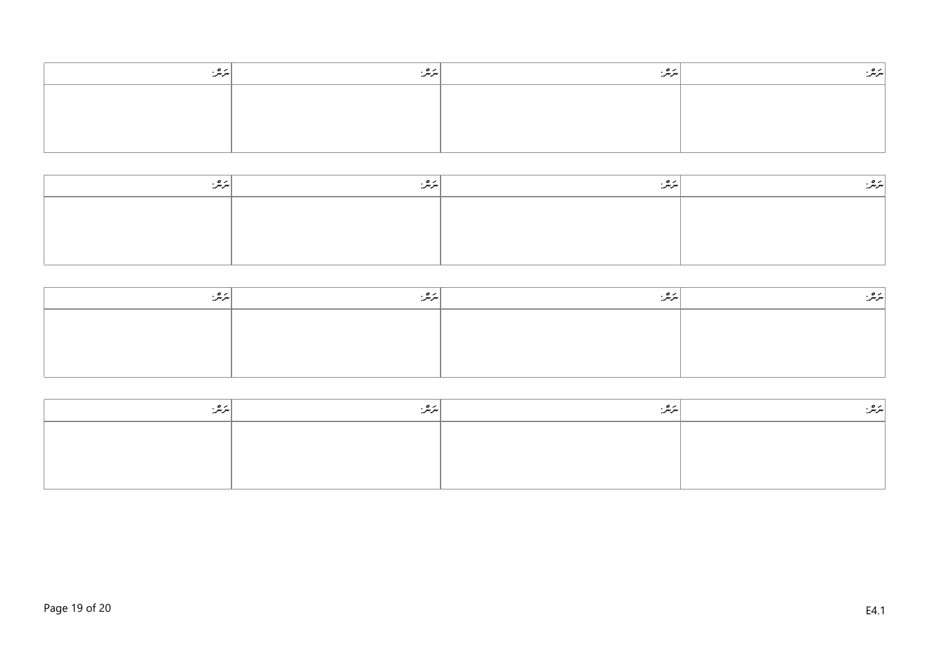| ير هو . | $\overline{\phantom{a}}$ | يرمر | اير هنه. |
|---------|--------------------------|------|----------|
|         |                          |      |          |
|         |                          |      |          |
|         |                          |      |          |

| ىر تىر: | $\circ$ $\sim$<br>" سرسر . | يترمير | o . |
|---------|----------------------------|--------|-----|
|         |                            |        |     |
|         |                            |        |     |
|         |                            |        |     |

| انترنثر: | ر ه |  |
|----------|-----|--|
|          |     |  |
|          |     |  |
|          |     |  |

|  | . ه |
|--|-----|
|  |     |
|  |     |
|  |     |